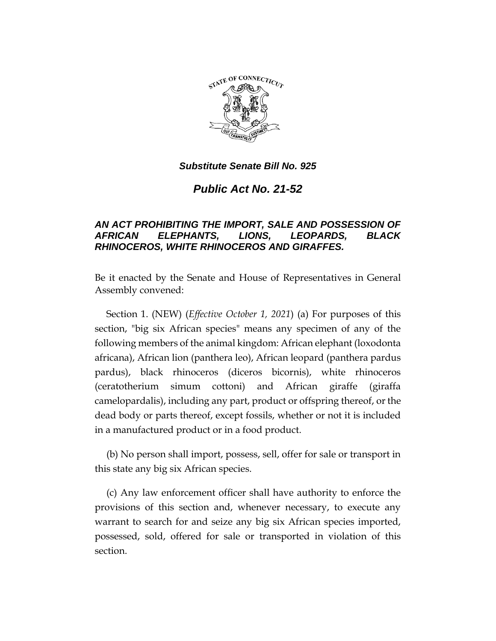

*Public Act No. 21-52*

# *AN ACT PROHIBITING THE IMPORT, SALE AND POSSESSION OF AFRICAN ELEPHANTS, LIONS, LEOPARDS, BLACK RHINOCEROS, WHITE RHINOCEROS AND GIRAFFES.*

Be it enacted by the Senate and House of Representatives in General Assembly convened:

Section 1. (NEW) (*Effective October 1, 2021*) (a) For purposes of this section, "big six African species" means any specimen of any of the following members of the animal kingdom: African elephant (loxodonta africana), African lion (panthera leo), African leopard (panthera pardus pardus), black rhinoceros (diceros bicornis), white rhinoceros (ceratotherium simum cottoni) and African giraffe (giraffa camelopardalis), including any part, product or offspring thereof, or the dead body or parts thereof, except fossils, whether or not it is included in a manufactured product or in a food product.

(b) No person shall import, possess, sell, offer for sale or transport in this state any big six African species.

(c) Any law enforcement officer shall have authority to enforce the provisions of this section and, whenever necessary, to execute any warrant to search for and seize any big six African species imported, possessed, sold, offered for sale or transported in violation of this section.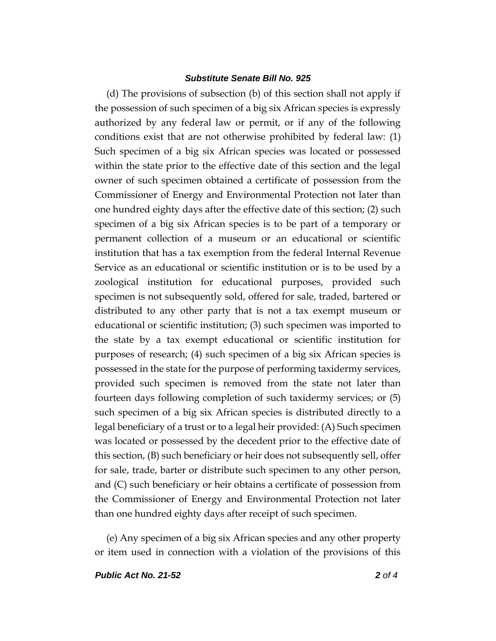(d) The provisions of subsection (b) of this section shall not apply if the possession of such specimen of a big six African species is expressly authorized by any federal law or permit, or if any of the following conditions exist that are not otherwise prohibited by federal law: (1) Such specimen of a big six African species was located or possessed within the state prior to the effective date of this section and the legal owner of such specimen obtained a certificate of possession from the Commissioner of Energy and Environmental Protection not later than one hundred eighty days after the effective date of this section; (2) such specimen of a big six African species is to be part of a temporary or permanent collection of a museum or an educational or scientific institution that has a tax exemption from the federal Internal Revenue Service as an educational or scientific institution or is to be used by a zoological institution for educational purposes, provided such specimen is not subsequently sold, offered for sale, traded, bartered or distributed to any other party that is not a tax exempt museum or educational or scientific institution; (3) such specimen was imported to the state by a tax exempt educational or scientific institution for purposes of research; (4) such specimen of a big six African species is possessed in the state for the purpose of performing taxidermy services, provided such specimen is removed from the state not later than fourteen days following completion of such taxidermy services; or (5) such specimen of a big six African species is distributed directly to a legal beneficiary of a trust or to a legal heir provided: (A) Such specimen was located or possessed by the decedent prior to the effective date of this section, (B) such beneficiary or heir does not subsequently sell, offer for sale, trade, barter or distribute such specimen to any other person, and (C) such beneficiary or heir obtains a certificate of possession from the Commissioner of Energy and Environmental Protection not later than one hundred eighty days after receipt of such specimen.

(e) Any specimen of a big six African species and any other property or item used in connection with a violation of the provisions of this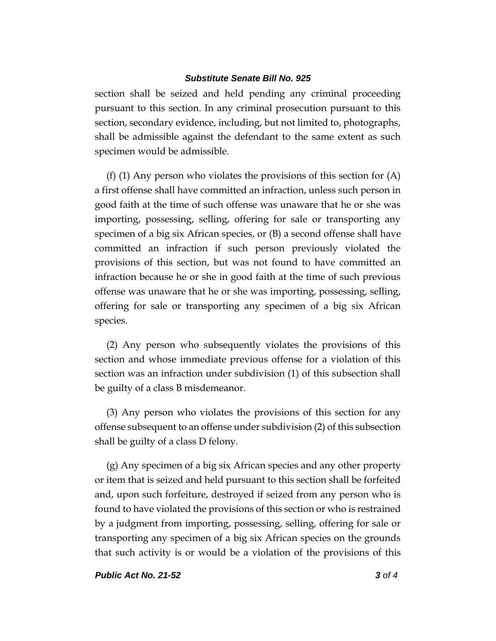section shall be seized and held pending any criminal proceeding pursuant to this section. In any criminal prosecution pursuant to this section, secondary evidence, including, but not limited to, photographs, shall be admissible against the defendant to the same extent as such specimen would be admissible.

(f) (1) Any person who violates the provisions of this section for (A) a first offense shall have committed an infraction, unless such person in good faith at the time of such offense was unaware that he or she was importing, possessing, selling, offering for sale or transporting any specimen of a big six African species, or (B) a second offense shall have committed an infraction if such person previously violated the provisions of this section, but was not found to have committed an infraction because he or she in good faith at the time of such previous offense was unaware that he or she was importing, possessing, selling, offering for sale or transporting any specimen of a big six African species.

(2) Any person who subsequently violates the provisions of this section and whose immediate previous offense for a violation of this section was an infraction under subdivision (1) of this subsection shall be guilty of a class B misdemeanor.

(3) Any person who violates the provisions of this section for any offense subsequent to an offense under subdivision (2) of this subsection shall be guilty of a class D felony.

(g) Any specimen of a big six African species and any other property or item that is seized and held pursuant to this section shall be forfeited and, upon such forfeiture, destroyed if seized from any person who is found to have violated the provisions of this section or who is restrained by a judgment from importing, possessing, selling, offering for sale or transporting any specimen of a big six African species on the grounds that such activity is or would be a violation of the provisions of this